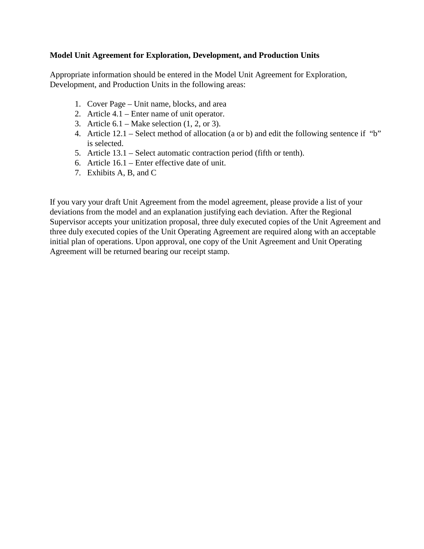## **Model Unit Agreement for Exploration, Development, and Production Units**

 Development, and Production Units in the following areas: 1. Cover Page – Unit name, blocks, and area Appropriate information should be entered in the Model Unit Agreement for Exploration,

- 1. Cover Page Unit name, blocks, and area
- 2. Article  $4.1$  Enter name of unit operator.
- 3. Article  $6.1$  Make selection  $(1, 2, \text{or } 3)$ .
- 4. Article  $12.1$  Select method of allocation (a or b) and edit the following sentence if "b" is selected.
- 5. Article 13.1 Select automatic contraction period (fifth or tenth).
- 6. Article 16.1 Enter effective date of unit.
- 7. Exhibits A, B, and C

If you vary your draft Unit Agreement from the model agreement, please provide a list of your deviations from the model and an explanation justifying each deviation. After the Regional Supervisor accepts your unitization proposal, three duly executed copies of the Unit Agreement and three duly executed copies of the Unit Operating Agreement are required along with an acceptable initial plan of operations. Upon approval, one copy of the Unit Agreement and Unit Operating Agreement will be returned bearing our receipt stamp.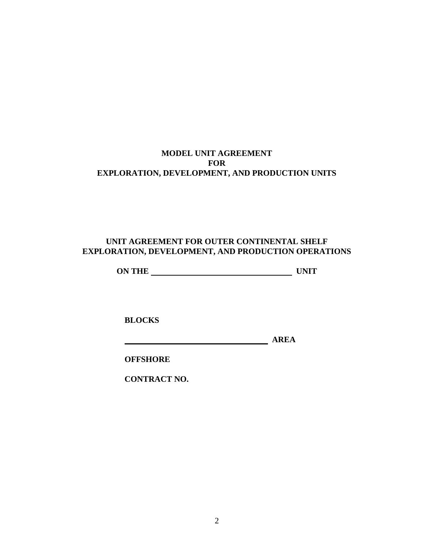# **MODEL UNIT AGREEMENT FOR EXPLORATION, DEVELOPMENT, AND PRODUCTION UNITS**

# **UNIT AGREEMENT FOR OUTER CONTINENTAL SHELF EXPLORATION, DEVELOPMENT, AND PRODUCTION OPERATIONS**

**0N THE UNIT** 

**BLOCKS** 

**BLOCKS AREA** 

**OFFSHORE** 

 **OFFSHORE CONTRACT NO.**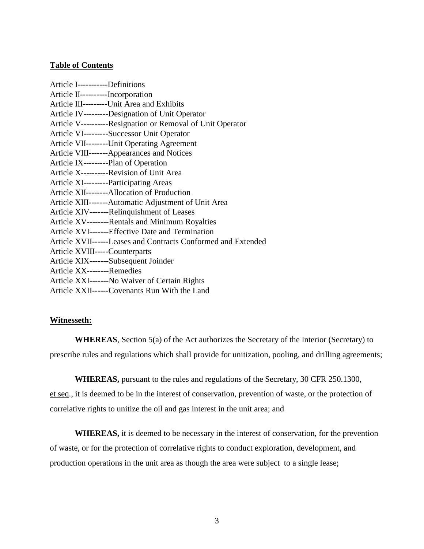## **Table of Contents**

| Article I-----------Definitions                               |
|---------------------------------------------------------------|
| Article II-----------Incorporation                            |
| Article III---------Unit Area and Exhibits                    |
| Article IV---------Designation of Unit Operator               |
| Article V----------Resignation or Removal of Unit Operator    |
| Article VI---------Successor Unit Operator                    |
| Article VII---------Unit Operating Agreement                  |
| Article VIII-------Appearances and Notices                    |
| Article IX---------Plan of Operation                          |
| Article X----------Revision of Unit Area                      |
| Article XI---------Participating Areas                        |
| Article XII--------Allocation of Production                   |
| Article XIII-------Automatic Adjustment of Unit Area          |
| Article XIV-------Relinquishment of Leases                    |
| Article XV--------Rentals and Minimum Royalties               |
| Article XVI-------Effective Date and Termination              |
| Article XVII------Leases and Contracts Conformed and Extended |
| Article XVIII-----Counterparts                                |
| Article XIX-------Subsequent Joinder                          |
| Article XX--------Remedies                                    |
| Article XXI-------No Waiver of Certain Rights                 |
| Article XXII------Covenants Run With the Land                 |

#### **Witnesseth:**

**WHEREAS**, Section 5(a) of the Act authorizes the Secretary of the Interior (Secretary) to prescribe rules and regulations which shall provide for unitization, pooling, and drilling agreements;

**WHEREAS,** pursuant to the rules and regulations of the Secretary, 30 CFR 250.1300, et seq., it is deemed to be in the interest of conservation, prevention of waste, or the protection of correlative rights to unitize the oil and gas interest in the unit area; and

**WHEREAS,** it is deemed to be necessary in the interest of conservation, for the prevention of waste, or for the protection of correlative rights to conduct exploration, development, and production operations in the unit area as though the area were subject to a single lease;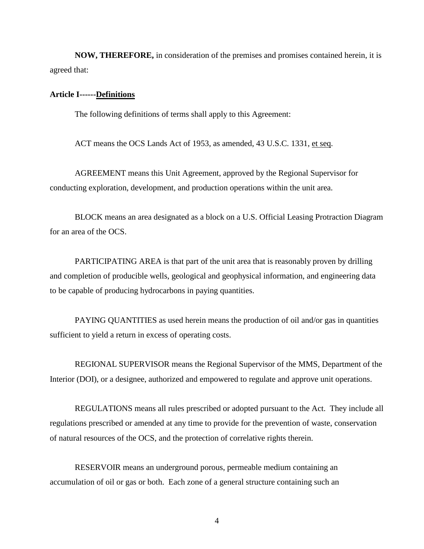**NOW, THEREFORE,** in consideration of the premises and promises contained herein, it is agreed that:

#### **Article I------Definitions**

The following definitions of terms shall apply to this Agreement:

ACT means the OCS Lands Act of 1953, as amended, 43 U.S.C. 1331, et seq.

AGREEMENT means this Unit Agreement, approved by the Regional Supervisor for conducting exploration, development, and production operations within the unit area.

for an area of the OCS. BLOCK means an area designated as a block on a U.S. Official Leasing Protraction Diagram

PARTICIPATING AREA is that part of the unit area that is reasonably proven by drilling and completion of producible wells, geological and geophysical information, and engineering data to be capable of producing hydrocarbons in paying quantities.

PAYING QUANTITIES as used herein means the production of oil and/or gas in quantities sufficient to yield a return in excess of operating costs.

REGIONAL SUPERVISOR means the Regional Supervisor of the MMS, Department of the Interior (DOI), or a designee, authorized and empowered to regulate and approve unit operations.

REGULATIONS means all rules prescribed or adopted pursuant to the Act. They include all regulations prescribed or amended at any time to provide for the prevention of waste, conservation of natural resources of the OCS, and the protection of correlative rights therein.

RESERVOIR means an underground porous, permeable medium containing an accumulation of oil or gas or both. Each zone of a general structure containing such an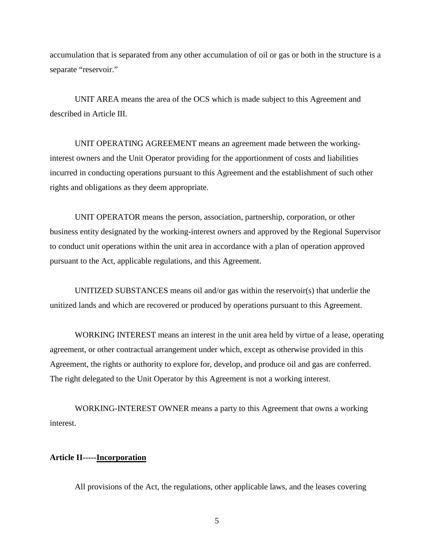accumulation that is separated from any other accumulation of oil or gas or both in the structure is a separate "reservoir."

UNIT AREA means the area of the OCS which is made subject to this Agreement and described in Article III.

UNIT OPERATING AGREEMENT means an agreement made between the workinginterest owners and the Unit Operator providing for the apportionment of costs and liabilities incurred in conducting operations pursuant to this Agreement and the establishment of such other rights and obligations as they deem appropriate.

UNIT OPERATOR means the person, association, partnership, corporation, or other business entity designated by the working-interest owners and approved by the Regional Supervisor to conduct unit operations within the unit area in accordance with a plan of operation approved pursuant to the Act, applicable regulations, and this Agreement.

UNITIZED SUBSTANCES means oil and/or gas within the reservoir(s) that underlie the unitized lands and which are recovered or produced by operations pursuant to this Agreement.

WORKING INTEREST means an interest in the unit area held by virtue of a lease, operating agreement, or other contractual arrangement under which, except as otherwise provided in this Agreement, the rights or authority to explore for, develop, and produce oil and gas are conferred. The right delegated to the Unit Operator by this Agreement is not a working interest.

WORKING-INTEREST OWNER means a party to this Agreement that owns a working interest.

#### **Article II-----Incorporation**

All provisions of the Act, the regulations, other applicable laws, and the leases covering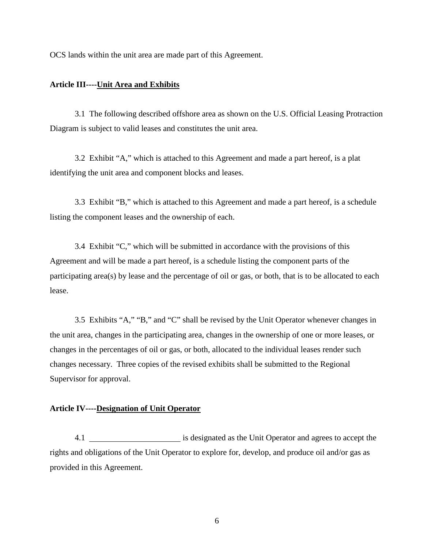OCS lands within the unit area are made part of this Agreement.

#### **Article III----Unit Area and Exhibits**

3.1 The following described offshore area as shown on the U.S. Official Leasing Protraction Diagram is subject to valid leases and constitutes the unit area.

3.2 Exhibit "A," which is attached to this Agreement and made a part hereof, is a plat identifying the unit area and component blocks and leases.

3.3 Exhibit "B," which is attached to this Agreement and made a part hereof, is a schedule listing the component leases and the ownership of each.

3.4 Exhibit "C," which will be submitted in accordance with the provisions of this Agreement and will be made a part hereof, is a schedule listing the component parts of the participating area(s) by lease and the percentage of oil or gas, or both, that is to be allocated to each lease.

3.5 Exhibits "A," "B," and "C" shall be revised by the Unit Operator whenever changes in the unit area, changes in the participating area, changes in the ownership of one or more leases, or changes in the percentages of oil or gas, or both, allocated to the individual leases render such changes necessary. Three copies of the revised exhibits shall be submitted to the Regional Supervisor for approval.

#### **Article IV----Designation of Unit Operator**

4.1 \_\_\_\_\_\_\_\_\_\_\_\_\_\_\_\_\_\_\_\_\_\_\_\_\_\_ is designated as the Unit Operator and agrees to accept the rights and obligations of the Unit Operator to explore for, develop, and produce oil and/or gas as provided in this Agreement.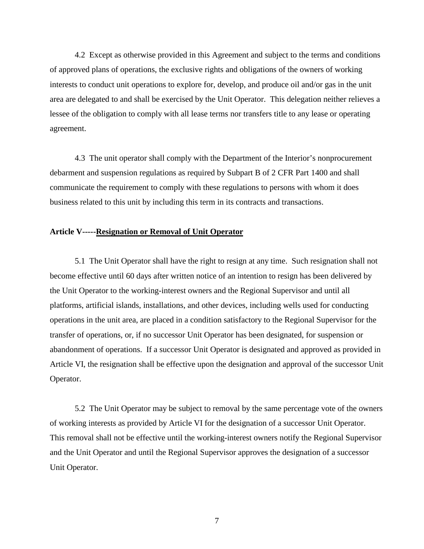4.2 Except as otherwise provided in this Agreement and subject to the terms and conditions of approved plans of operations, the exclusive rights and obligations of the owners of working interests to conduct unit operations to explore for, develop, and produce oil and/or gas in the unit area are delegated to and shall be exercised by the Unit Operator. This delegation neither relieves a lessee of the obligation to comply with all lease terms nor transfers title to any lease or operating agreement.

 debarment and suspension regulations as required by Subpart B of 2 CFR Part 1400 and shall 4.3 The unit operator shall comply with the Department of the Interior's nonprocurement communicate the requirement to comply with these regulations to persons with whom it does business related to this unit by including this term in its contracts and transactions.

#### **Article V-----Resignation or Removal of Unit Operator**

5.1 The Unit Operator shall have the right to resign at any time. Such resignation shall not become effective until 60 days after written notice of an intention to resign has been delivered by the Unit Operator to the working-interest owners and the Regional Supervisor and until all platforms, artificial islands, installations, and other devices, including wells used for conducting operations in the unit area, are placed in a condition satisfactory to the Regional Supervisor for the transfer of operations, or, if no successor Unit Operator has been designated, for suspension or abandonment of operations. If a successor Unit Operator is designated and approved as provided in Article VI, the resignation shall be effective upon the designation and approval of the successor Unit Operator.

5.2 The Unit Operator may be subject to removal by the same percentage vote of the owners of working interests as provided by Article VI for the designation of a successor Unit Operator. This removal shall not be effective until the working-interest owners notify the Regional Supervisor and the Unit Operator and until the Regional Supervisor approves the designation of a successor Unit Operator.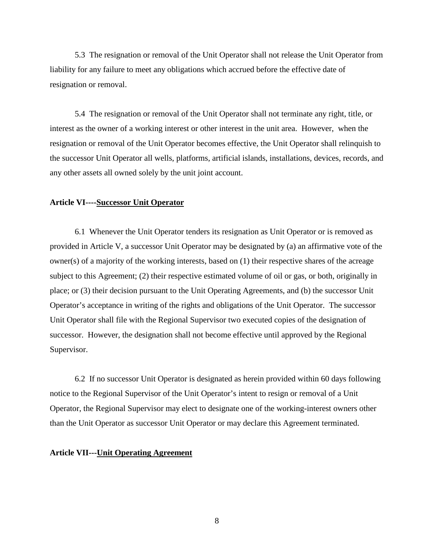5.3 The resignation or removal of the Unit Operator shall not release the Unit Operator from liability for any failure to meet any obligations which accrued before the effective date of resignation or removal.

5.4 The resignation or removal of the Unit Operator shall not terminate any right, title, or interest as the owner of a working interest or other interest in the unit area. However, when the resignation or removal of the Unit Operator becomes effective, the Unit Operator shall relinquish to the successor Unit Operator all wells, platforms, artificial islands, installations, devices, records, and any other assets all owned solely by the unit joint account.

### **Article VI----Successor Unit Operator**

6.1 Whenever the Unit Operator tenders its resignation as Unit Operator or is removed as provided in Article V, a successor Unit Operator may be designated by (a) an affirmative vote of the owner(s) of a majority of the working interests, based on (1) their respective shares of the acreage subject to this Agreement; (2) their respective estimated volume of oil or gas, or both, originally in place; or (3) their decision pursuant to the Unit Operating Agreements, and (b) the successor Unit Operator's acceptance in writing of the rights and obligations of the Unit Operator. The successor Unit Operator shall file with the Regional Supervisor two executed copies of the designation of successor. However, the designation shall not become effective until approved by the Regional Supervisor.

6.2 If no successor Unit Operator is designated as herein provided within 60 days following notice to the Regional Supervisor of the Unit Operator's intent to resign or removal of a Unit Operator, the Regional Supervisor may elect to designate one of the working-interest owners other than the Unit Operator as successor Unit Operator or may declare this Agreement terminated.

#### **Article VII---Unit Operating Agreement**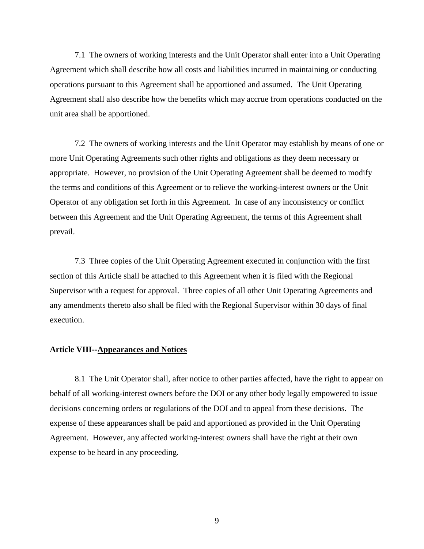7.1 The owners of working interests and the Unit Operator shall enter into a Unit Operating Agreement which shall describe how all costs and liabilities incurred in maintaining or conducting operations pursuant to this Agreement shall be apportioned and assumed. The Unit Operating Agreement shall also describe how the benefits which may accrue from operations conducted on the unit area shall be apportioned.

7.2 The owners of working interests and the Unit Operator may establish by means of one or more Unit Operating Agreements such other rights and obligations as they deem necessary or appropriate. However, no provision of the Unit Operating Agreement shall be deemed to modify the terms and conditions of this Agreement or to relieve the working-interest owners or the Unit Operator of any obligation set forth in this Agreement. In case of any inconsistency or conflict between this Agreement and the Unit Operating Agreement, the terms of this Agreement shall prevail.

7.3 Three copies of the Unit Operating Agreement executed in conjunction with the first section of this Article shall be attached to this Agreement when it is filed with the Regional Supervisor with a request for approval. Three copies of all other Unit Operating Agreements and any amendments thereto also shall be filed with the Regional Supervisor within 30 days of final execution.

#### **Article VIII--Appearances and Notices**

8.1 The Unit Operator shall, after notice to other parties affected, have the right to appear on behalf of all working-interest owners before the DOI or any other body legally empowered to issue decisions concerning orders or regulations of the DOI and to appeal from these decisions. The expense of these appearances shall be paid and apportioned as provided in the Unit Operating Agreement. However, any affected working-interest owners shall have the right at their own expense to be heard in any proceeding.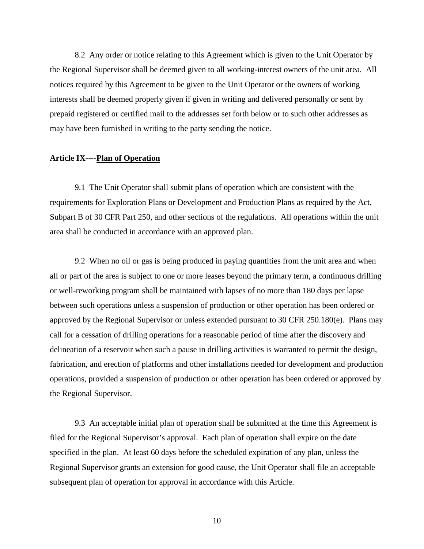8.2 Any order or notice relating to this Agreement which is given to the Unit Operator by the Regional Supervisor shall be deemed given to all working-interest owners of the unit area. All notices required by this Agreement to be given to the Unit Operator or the owners of working interests shall be deemed properly given if given in writing and delivered personally or sent by prepaid registered or certified mail to the addresses set forth below or to such other addresses as may have been furnished in writing to the party sending the notice.

#### **Article IX----Plan of Operation**

9.1 The Unit Operator shall submit plans of operation which are consistent with the requirements for Exploration Plans or Development and Production Plans as required by the Act, Subpart B of 30 CFR Part 250, and other sections of the regulations. All operations within the unit area shall be conducted in accordance with an approved plan.

9.2 When no oil or gas is being produced in paying quantities from the unit area and when all or part of the area is subject to one or more leases beyond the primary term, a continuous drilling or well-reworking program shall be maintained with lapses of no more than 180 days per lapse between such operations unless a suspension of production or other operation has been ordered or approved by the Regional Supervisor or unless extended pursuant to 30 CFR 250.180(e). Plans may call for a cessation of drilling operations for a reasonable period of time after the discovery and delineation of a reservoir when such a pause in drilling activities is warranted to permit the design, fabrication, and erection of platforms and other installations needed for development and production operations, provided a suspension of production or other operation has been ordered or approved by the Regional Supervisor.

9.3 An acceptable initial plan of operation shall be submitted at the time this Agreement is filed for the Regional Supervisor's approval. Each plan of operation shall expire on the date specified in the plan. At least 60 days before the scheduled expiration of any plan, unless the Regional Supervisor grants an extension for good cause, the Unit Operator shall file an acceptable subsequent plan of operation for approval in accordance with this Article.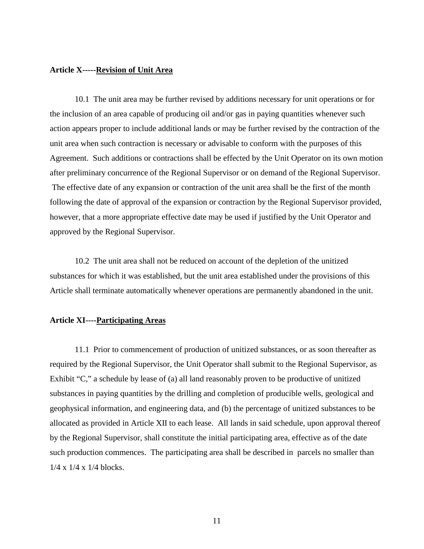#### **Article X-----Revision of Unit Area**

10.1 The unit area may be further revised by additions necessary for unit operations or for the inclusion of an area capable of producing oil and/or gas in paying quantities whenever such action appears proper to include additional lands or may be further revised by the contraction of the unit area when such contraction is necessary or advisable to conform with the purposes of this Agreement. Such additions or contractions shall be effected by the Unit Operator on its own motion after preliminary concurrence of the Regional Supervisor or on demand of the Regional Supervisor. The effective date of any expansion or contraction of the unit area shall be the first of the month following the date of approval of the expansion or contraction by the Regional Supervisor provided, however, that a more appropriate effective date may be used if justified by the Unit Operator and approved by the Regional Supervisor.

10.2 The unit area shall not be reduced on account of the depletion of the unitized substances for which it was established, but the unit area established under the provisions of this Article shall terminate automatically whenever operations are permanently abandoned in the unit.

#### **Article XI----Participating Areas**

11.1 Prior to commencement of production of unitized substances, or as soon thereafter as required by the Regional Supervisor, the Unit Operator shall submit to the Regional Supervisor, as Exhibit "C," a schedule by lease of (a) all land reasonably proven to be productive of unitized substances in paying quantities by the drilling and completion of producible wells, geological and geophysical information, and engineering data, and (b) the percentage of unitized substances to be allocated as provided in Article XII to each lease. All lands in said schedule, upon approval thereof by the Regional Supervisor, shall constitute the initial participating area, effective as of the date such production commences. The participating area shall be described in parcels no smaller than 1/4 x 1/4 x 1/4 blocks.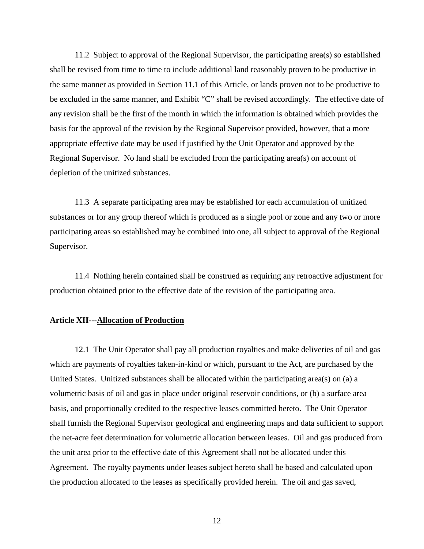11.2 Subject to approval of the Regional Supervisor, the participating area(s) so established shall be revised from time to time to include additional land reasonably proven to be productive in the same manner as provided in Section 11.1 of this Article, or lands proven not to be productive to be excluded in the same manner, and Exhibit "C" shall be revised accordingly. The effective date of any revision shall be the first of the month in which the information is obtained which provides the basis for the approval of the revision by the Regional Supervisor provided, however, that a more appropriate effective date may be used if justified by the Unit Operator and approved by the Regional Supervisor. No land shall be excluded from the participating area(s) on account of depletion of the unitized substances.

11.3 A separate participating area may be established for each accumulation of unitized substances or for any group thereof which is produced as a single pool or zone and any two or more participating areas so established may be combined into one, all subject to approval of the Regional Supervisor.

11.4 Nothing herein contained shall be construed as requiring any retroactive adjustment for production obtained prior to the effective date of the revision of the participating area.

#### **Article XII---Allocation of Production**

12.1 The Unit Operator shall pay all production royalties and make deliveries of oil and gas which are payments of royalties taken-in-kind or which, pursuant to the Act, are purchased by the United States. Unitized substances shall be allocated within the participating area(s) on (a) a volumetric basis of oil and gas in place under original reservoir conditions, or (b) a surface area basis, and proportionally credited to the respective leases committed hereto. The Unit Operator shall furnish the Regional Supervisor geological and engineering maps and data sufficient to support the net-acre feet determination for volumetric allocation between leases. Oil and gas produced from the unit area prior to the effective date of this Agreement shall not be allocated under this Agreement. The royalty payments under leases subject hereto shall be based and calculated upon the production allocated to the leases as specifically provided herein. The oil and gas saved,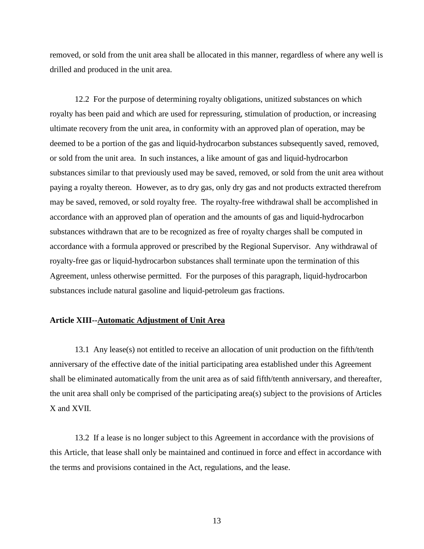removed, or sold from the unit area shall be allocated in this manner, regardless of where any well is drilled and produced in the unit area.

12.2 For the purpose of determining royalty obligations, unitized substances on which royalty has been paid and which are used for repressuring, stimulation of production, or increasing ultimate recovery from the unit area, in conformity with an approved plan of operation, may be deemed to be a portion of the gas and liquid-hydrocarbon substances subsequently saved, removed, or sold from the unit area. In such instances, a like amount of gas and liquid-hydrocarbon substances similar to that previously used may be saved, removed, or sold from the unit area without paying a royalty thereon. However, as to dry gas, only dry gas and not products extracted therefrom may be saved, removed, or sold royalty free. The royalty-free withdrawal shall be accomplished in accordance with an approved plan of operation and the amounts of gas and liquid-hydrocarbon substances withdrawn that are to be recognized as free of royalty charges shall be computed in accordance with a formula approved or prescribed by the Regional Supervisor. Any withdrawal of royalty-free gas or liquid-hydrocarbon substances shall terminate upon the termination of this Agreement, unless otherwise permitted. For the purposes of this paragraph, liquid-hydrocarbon substances include natural gasoline and liquid-petroleum gas fractions.

#### **Article XIII--Automatic Adjustment of Unit Area**

13.1 Any lease(s) not entitled to receive an allocation of unit production on the fifth/tenth anniversary of the effective date of the initial participating area established under this Agreement shall be eliminated automatically from the unit area as of said fifth/tenth anniversary, and thereafter, the unit area shall only be comprised of the participating area(s) subject to the provisions of Articles X and XVII.

13.2 If a lease is no longer subject to this Agreement in accordance with the provisions of this Article, that lease shall only be maintained and continued in force and effect in accordance with the terms and provisions contained in the Act, regulations, and the lease.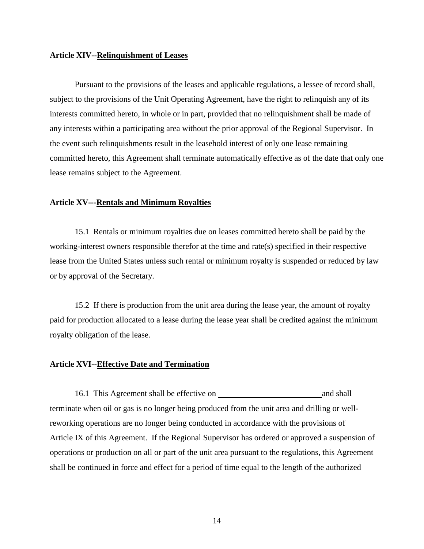#### **Article XIV--Relinquishment of Leases**

 lease remains subject to the Agreement. Pursuant to the provisions of the leases and applicable regulations, a lessee of record shall, subject to the provisions of the Unit Operating Agreement, have the right to relinquish any of its interests committed hereto, in whole or in part, provided that no relinquishment shall be made of any interests within a participating area without the prior approval of the Regional Supervisor. In the event such relinquishments result in the leasehold interest of only one lease remaining committed hereto, this Agreement shall terminate automatically effective as of the date that only one

#### **Article XV---Rentals and Minimum Royalties**

15.1 Rentals or minimum royalties due on leases committed hereto shall be paid by the working-interest owners responsible therefor at the time and rate(s) specified in their respective lease from the United States unless such rental or minimum royalty is suspended or reduced by law or by approval of the Secretary.

15.2 If there is production from the unit area during the lease year, the amount of royalty paid for production allocated to a lease during the lease year shall be credited against the minimum royalty obligation of the lease.

#### **Article XVI--Effective Date and Termination**

 16.1 This Agreement shall be effective on and shall reworking operations are no longer being conducted in accordance with the provisions of terminate when oil or gas is no longer being produced from the unit area and drilling or well-Article IX of this Agreement. If the Regional Supervisor has ordered or approved a suspension of operations or production on all or part of the unit area pursuant to the regulations, this Agreement shall be continued in force and effect for a period of time equal to the length of the authorized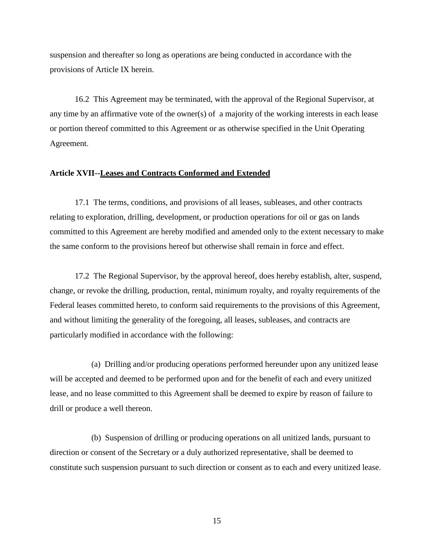suspension and thereafter so long as operations are being conducted in accordance with the provisions of Article IX herein.

16.2 This Agreement may be terminated, with the approval of the Regional Supervisor, at any time by an affirmative vote of the owner(s) of a majority of the working interests in each lease or portion thereof committed to this Agreement or as otherwise specified in the Unit Operating Agreement.

#### **Article XVII--Leases and Contracts Conformed and Extended**

17.1 The terms, conditions, and provisions of all leases, subleases, and other contracts relating to exploration, drilling, development, or production operations for oil or gas on lands committed to this Agreement are hereby modified and amended only to the extent necessary to make the same conform to the provisions hereof but otherwise shall remain in force and effect.

17.2 The Regional Supervisor, by the approval hereof, does hereby establish, alter, suspend, change, or revoke the drilling, production, rental, minimum royalty, and royalty requirements of the Federal leases committed hereto, to conform said requirements to the provisions of this Agreement, and without limiting the generality of the foregoing, all leases, subleases, and contracts are particularly modified in accordance with the following:

(a) Drilling and/or producing operations performed hereunder upon any unitized lease will be accepted and deemed to be performed upon and for the benefit of each and every unitized lease, and no lease committed to this Agreement shall be deemed to expire by reason of failure to drill or produce a well thereon.

(b) Suspension of drilling or producing operations on all unitized lands, pursuant to direction or consent of the Secretary or a duly authorized representative, shall be deemed to constitute such suspension pursuant to such direction or consent as to each and every unitized lease.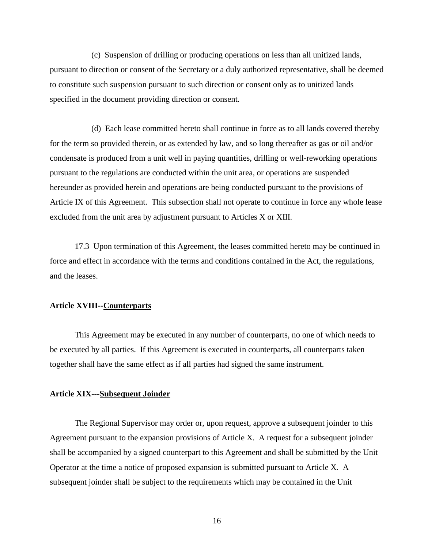specified in the document providing direction or consent. (c) Suspension of drilling or producing operations on less than all unitized lands, pursuant to direction or consent of the Secretary or a duly authorized representative, shall be deemed to constitute such suspension pursuant to such direction or consent only as to unitized lands

(d) Each lease committed hereto shall continue in force as to all lands covered thereby for the term so provided therein, or as extended by law, and so long thereafter as gas or oil and/or condensate is produced from a unit well in paying quantities, drilling or well-reworking operations pursuant to the regulations are conducted within the unit area, or operations are suspended hereunder as provided herein and operations are being conducted pursuant to the provisions of Article IX of this Agreement. This subsection shall not operate to continue in force any whole lease excluded from the unit area by adjustment pursuant to Articles X or XIII.

 and the leases. 17.3 Upon termination of this Agreement, the leases committed hereto may be continued in force and effect in accordance with the terms and conditions contained in the Act, the regulations,

#### **Article XVIII--Counterparts**

This Agreement may be executed in any number of counterparts, no one of which needs to be executed by all parties. If this Agreement is executed in counterparts, all counterparts taken together shall have the same effect as if all parties had signed the same instrument.

#### **Article XIX---Subsequent Joinder**

The Regional Supervisor may order or, upon request, approve a subsequent joinder to this Agreement pursuant to the expansion provisions of Article X. A request for a subsequent joinder shall be accompanied by a signed counterpart to this Agreement and shall be submitted by the Unit Operator at the time a notice of proposed expansion is submitted pursuant to Article X. A subsequent joinder shall be subject to the requirements which may be contained in the Unit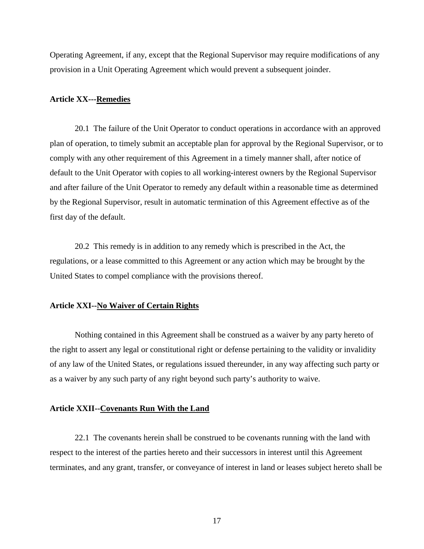Operating Agreement, if any, except that the Regional Supervisor may require modifications of any provision in a Unit Operating Agreement which would prevent a subsequent joinder.

#### **Article XX---Remedies**

20.1 The failure of the Unit Operator to conduct operations in accordance with an approved plan of operation, to timely submit an acceptable plan for approval by the Regional Supervisor, or to comply with any other requirement of this Agreement in a timely manner shall, after notice of default to the Unit Operator with copies to all working-interest owners by the Regional Supervisor and after failure of the Unit Operator to remedy any default within a reasonable time as determined by the Regional Supervisor, result in automatic termination of this Agreement effective as of the first day of the default.

20.2 This remedy is in addition to any remedy which is prescribed in the Act, the regulations, or a lease committed to this Agreement or any action which may be brought by the United States to compel compliance with the provisions thereof.

#### **Article XXI--No Waiver of Certain Rights**

Nothing contained in this Agreement shall be construed as a waiver by any party hereto of the right to assert any legal or constitutional right or defense pertaining to the validity or invalidity of any law of the United States, or regulations issued thereunder, in any way affecting such party or as a waiver by any such party of any right beyond such party's authority to waive.

#### **Article XXII--Covenants Run With the Land**

22.1 The covenants herein shall be construed to be covenants running with the land with respect to the interest of the parties hereto and their successors in interest until this Agreement terminates, and any grant, transfer, or conveyance of interest in land or leases subject hereto shall be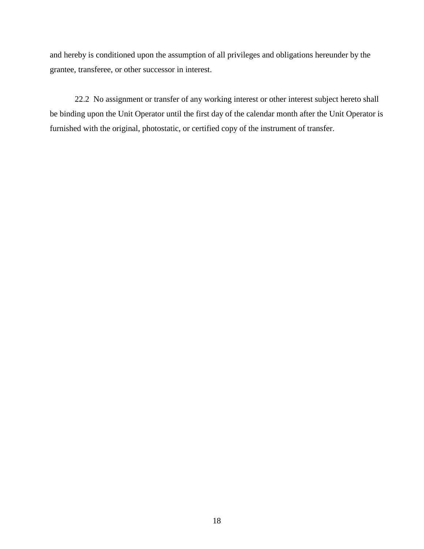and hereby is conditioned upon the assumption of all privileges and obligations hereunder by the grantee, transferee, or other successor in interest.

22.2 No assignment or transfer of any working interest or other interest subject hereto shall be binding upon the Unit Operator until the first day of the calendar month after the Unit Operator is furnished with the original, photostatic, or certified copy of the instrument of transfer.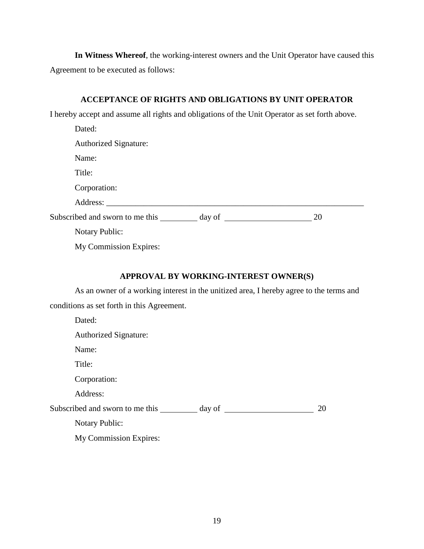**In Witness Whereof**, the working-interest owners and the Unit Operator have caused this Agreement to be executed as follows:

## **ACCEPTANCE OF RIGHTS AND OBLIGATIONS BY UNIT OPERATOR**

I hereby accept and assume all rights and obligations of the Unit Operator as set forth above.

| Dated:                                                                           |    |
|----------------------------------------------------------------------------------|----|
| <b>Authorized Signature:</b>                                                     |    |
| Name:                                                                            |    |
| Title:                                                                           |    |
| Corporation:                                                                     |    |
| Address:                                                                         |    |
| Subscribed and sworn to me this ___________ day of _____________________________ | 20 |
| <b>Notary Public:</b>                                                            |    |
| My Commission Expires:                                                           |    |

# **APPROVAL BY WORKING-INTEREST OWNER(S)**

As an owner of a working interest in the unitized area, I hereby agree to the terms and conditions as set forth in this Agreement.

| Dated:                                |  |
|---------------------------------------|--|
| <b>Authorized Signature:</b>          |  |
| Name:                                 |  |
| Title:                                |  |
| Corporation:                          |  |
| Address:                              |  |
| Subscribed and sworn to me this<br>20 |  |
| <b>Notary Public:</b>                 |  |
| My Commission Expires:                |  |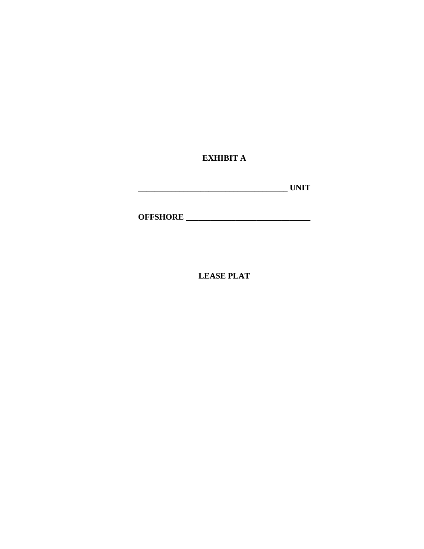**EXHIBIT A** 

| <b>TINITT</b><br>$- - - - -$ |
|------------------------------|
|------------------------------|

**OFFSHORE \_\_\_\_\_\_\_\_\_\_\_\_\_\_\_\_\_\_\_\_\_\_\_\_\_\_\_\_\_\_** 

**LEASE PLAT**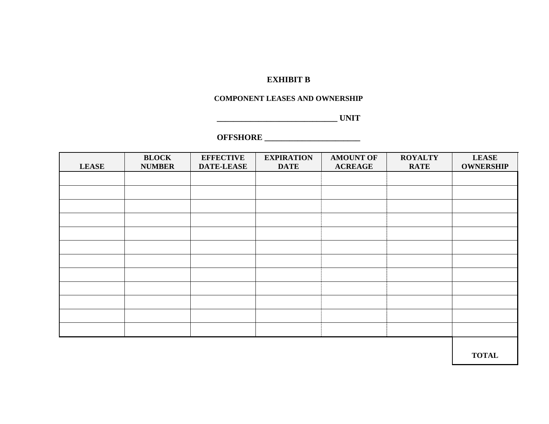# **EXHIBIT B**

#### **COMPONENT LEASES AND OWNERSHIP**

**\_\_\_\_\_\_\_\_\_\_\_\_\_\_\_\_\_\_\_\_\_\_\_\_\_\_\_\_\_ UNIT**

#### **OFFSHORE \_\_\_\_\_\_\_\_\_\_\_\_\_\_\_\_\_\_\_\_\_\_\_**

|              | <b>BLOCK</b>  | <b>EFFECTIVE</b>  | <b>EXPIRATION</b> | <b>AMOUNT OF</b> | <b>ROYALTY</b> | <b>LEASE</b>     |
|--------------|---------------|-------------------|-------------------|------------------|----------------|------------------|
| <b>LEASE</b> | <b>NUMBER</b> | <b>DATE-LEASE</b> | <b>DATE</b>       | <b>ACREAGE</b>   | <b>RATE</b>    | <b>OWNERSHIP</b> |
|              |               |                   |                   |                  |                |                  |
|              |               |                   |                   |                  |                |                  |
|              |               |                   |                   |                  |                |                  |
|              |               |                   |                   |                  |                |                  |
|              |               |                   |                   |                  |                |                  |
|              |               |                   |                   |                  |                |                  |
|              |               |                   |                   |                  |                |                  |
|              |               |                   |                   |                  |                |                  |
|              |               |                   |                   |                  |                |                  |
|              |               |                   |                   |                  |                |                  |
|              |               |                   |                   |                  |                |                  |
|              |               |                   |                   |                  |                |                  |
|              |               |                   |                   |                  |                |                  |

**TOTAL**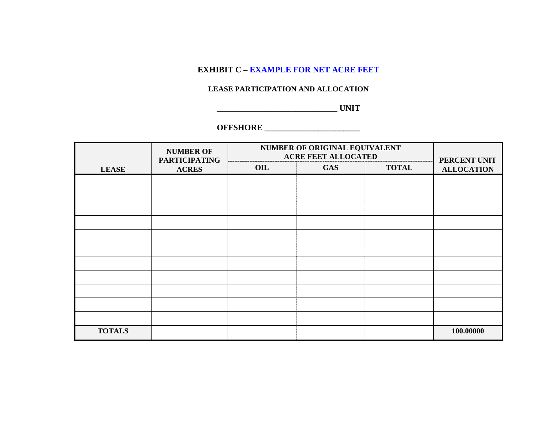# **EXHIBIT C – EXAMPLE FOR NET ACRE FEET**

#### **LEASE PARTICIPATION AND ALLOCATION**

**\_\_\_\_\_\_\_\_\_\_\_\_\_\_\_\_\_\_\_\_\_\_\_\_\_\_\_\_\_ UNIT** 

# **OFFSHORE \_\_\_\_\_\_\_\_\_\_\_\_\_\_\_\_\_\_\_\_\_\_\_**

|               | <b>NUMBER OF</b><br><b>PARTICIPATING</b> | NUMBER OF ORIGINAL EQUIVALENT<br><b>ACRE FEET ALLOCATED</b> |            |              | PERCENT UNIT      |
|---------------|------------------------------------------|-------------------------------------------------------------|------------|--------------|-------------------|
| <b>LEASE</b>  | <b>ACRES</b>                             | OIL                                                         | <b>GAS</b> | <b>TOTAL</b> | <b>ALLOCATION</b> |
|               |                                          |                                                             |            |              |                   |
|               |                                          |                                                             |            |              |                   |
|               |                                          |                                                             |            |              |                   |
|               |                                          |                                                             |            |              |                   |
|               |                                          |                                                             |            |              |                   |
|               |                                          |                                                             |            |              |                   |
|               |                                          |                                                             |            |              |                   |
|               |                                          |                                                             |            |              |                   |
|               |                                          |                                                             |            |              |                   |
|               |                                          |                                                             |            |              |                   |
|               |                                          |                                                             |            |              |                   |
| <b>TOTALS</b> |                                          |                                                             |            |              | 100.00000         |